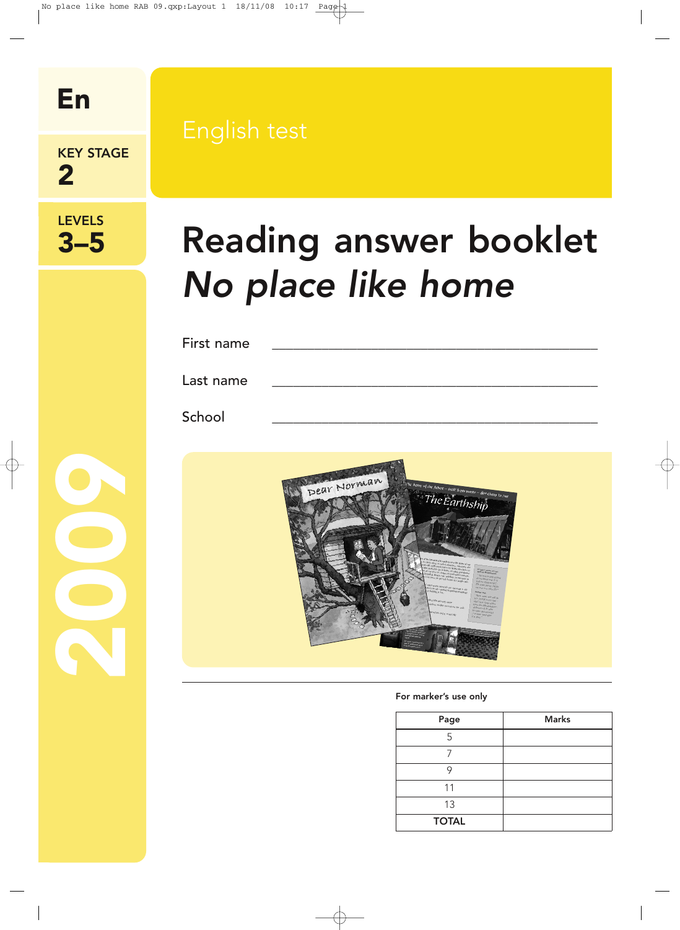

**KEY STAGE 2**

English test

**LEVELS 3–5**

**2**

**9**

# **Reading answer booklet** *No place like home*

| First name |  |
|------------|--|
| Last name  |  |
| School     |  |
|            |  |



#### **For marker's use only**

| Page         | <b>Marks</b> |
|--------------|--------------|
| 5            |              |
|              |              |
|              |              |
| 11           |              |
| 13           |              |
| <b>TOTAL</b> |              |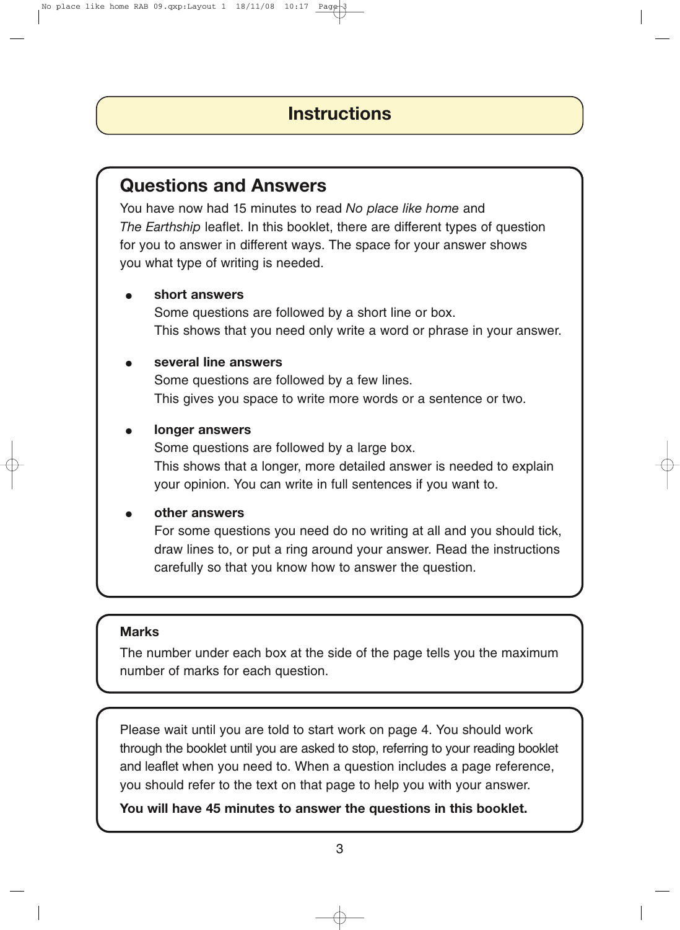## **Questions and Answers**

You have now had 15 minutes to read *No place like home* and *The Earthship* leaflet. In this booklet, there are different types of question for you to answer in different ways. The space for your answer shows you what type of writing is needed.

#### **● short answers**

Some questions are followed by a short line or box. This shows that you need only write a word or phrase in your answer.

#### **● several line answers**

Some questions are followed by a few lines. This gives you space to write more words or a sentence or two.

#### **● longer answers**

Some questions are followed by a large box. This shows that a longer, more detailed answer is needed to explain your opinion. You can write in full sentences if you want to.

#### **● other answers**

For some questions you need do no writing at all and you should tick, draw lines to, or put a ring around your answer. Read the instructions carefully so that you know how to answer the question.

#### **Marks**

The number under each box at the side of the page tells you the maximum number of marks for each question.

Please wait until you are told to start work on page 4. You should work through the booklet until you are asked to stop, referring to your reading booklet and leaflet when you need to. When a question includes a page reference, you should refer to the text on that page to help you with your answer.

**You will have 45 minutes to answer the questions in this booklet.**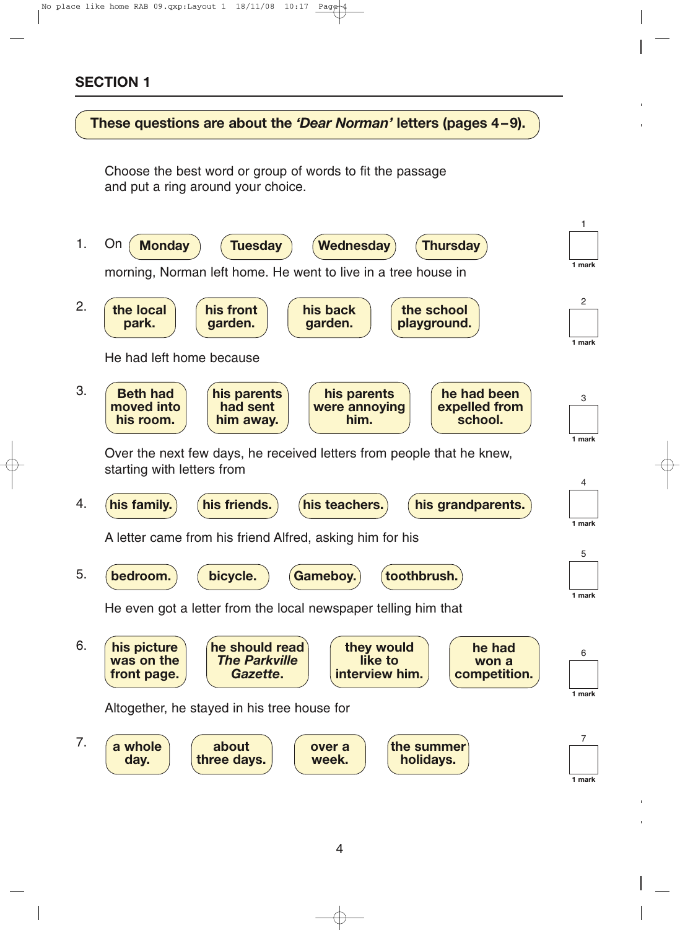#### **SECTION 1**

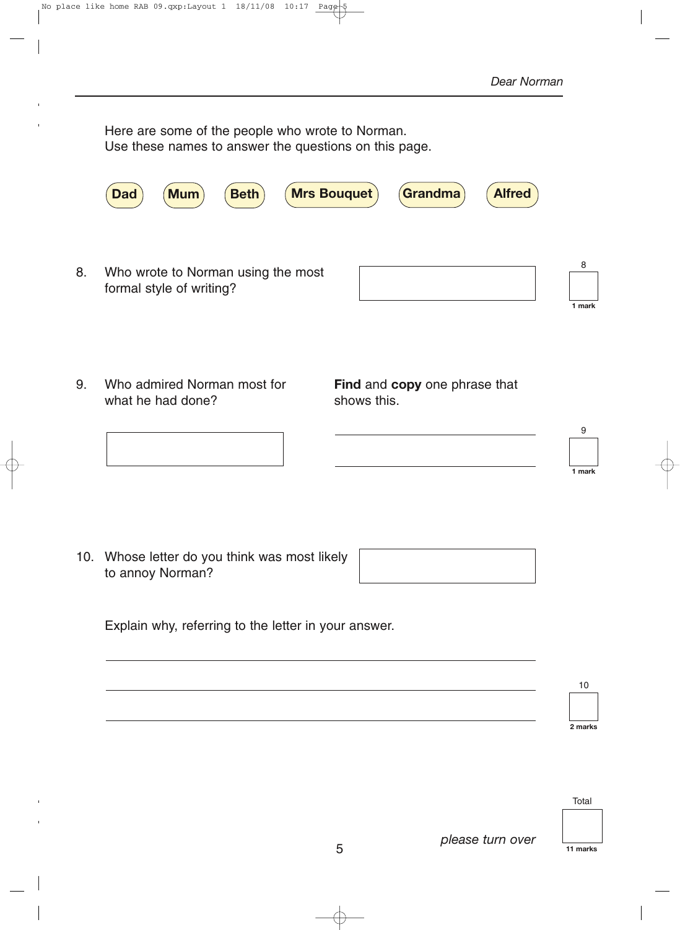Here are some of the people who wrote to Norman. Use these names to answer the questions on this page. 8. Who wrote to Norman using the most formal style of writing? 9. Who admired Norman most for **Find** and **copy** one phrase that what he had done? shows this. 10. Whose letter do you think was most likely to annoy Norman? 8 **1 mark** 9 **1 mark Dad Mum Beth Mrs Bouquet Grandma (Alfred** 

Explain why, referring to the letter in your answer.

**2 marks**

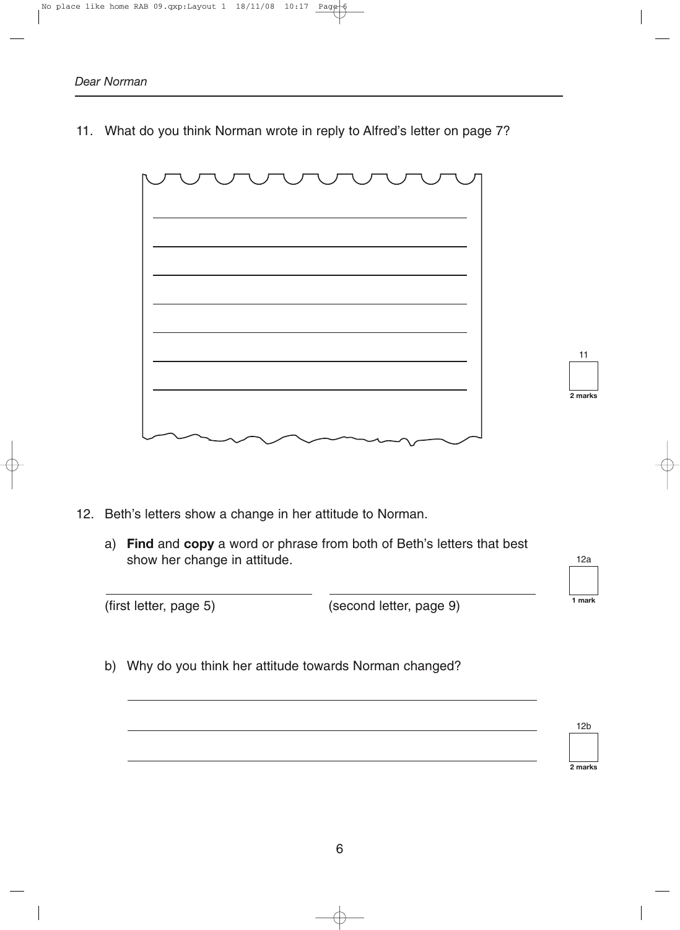11. What do you think Norman wrote in reply to Alfred's letter on page 7?





- 12. Beth's letters show a change in her attitude to Norman.
	- a) **Find** and **copy** a word or phrase from both of Beth's letters that best show her change in attitude.

| 2a |   |      |  |
|----|---|------|--|
|    |   |      |  |
|    |   |      |  |
|    | 1 | mark |  |

(first letter, page 5) (second letter, page 9)

b) Why do you think her attitude towards Norman changed?

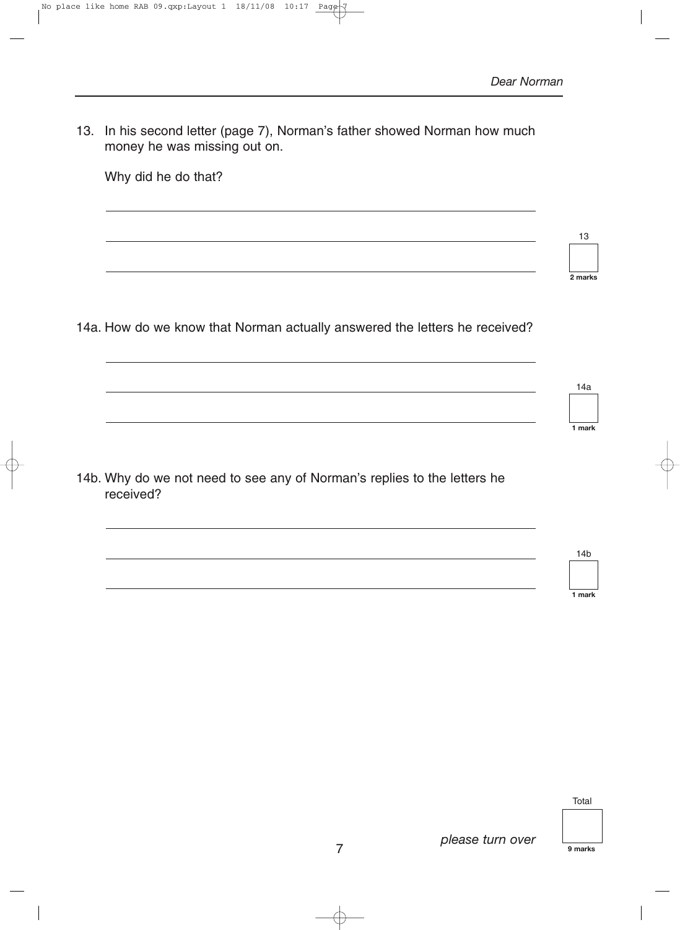13. In his second letter (page 7), Norman's father showed Norman how much money he was missing out on.

| Why did he do that?                                                        |         |
|----------------------------------------------------------------------------|---------|
|                                                                            | 13      |
|                                                                            | 2 marks |
| 14a. How do we know that Norman actually answered the letters he received? |         |
|                                                                            | 14a     |
|                                                                            | 1 mark  |
|                                                                            |         |



Total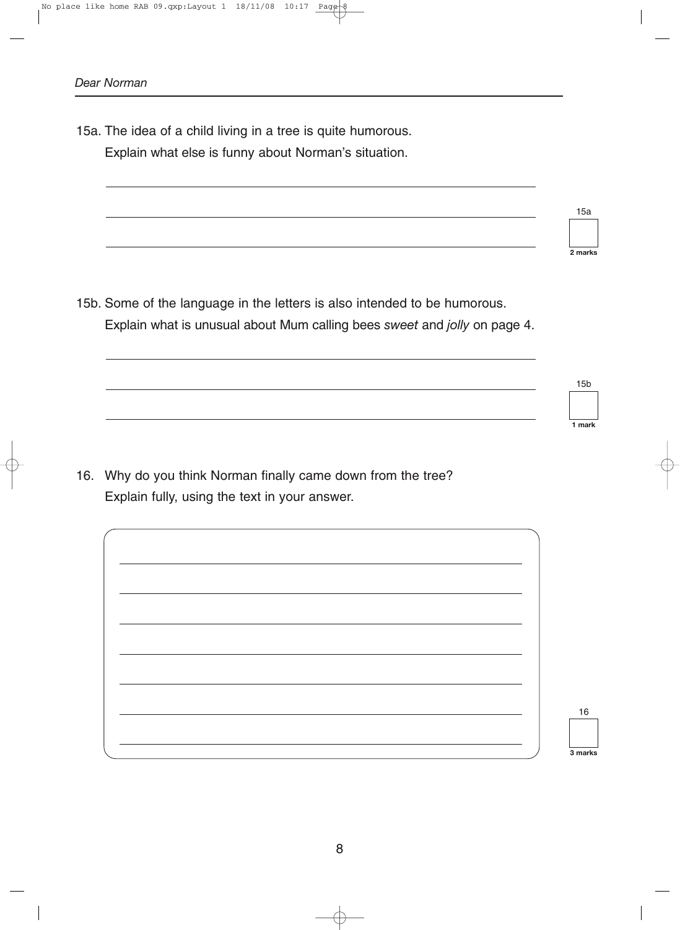15a. The idea of a child living in a tree is quite humorous. Explain what else is funny about Norman's situation.

15b. Some of the language in the letters is also intended to be humorous. Explain what is unusual about Mum calling bees *sweet* and *jolly* on page 4. 15a

**2 marks**

15b

**1 mark**

16. Why do you think Norman finally came down from the tree? Explain fully, using the text in your answer.

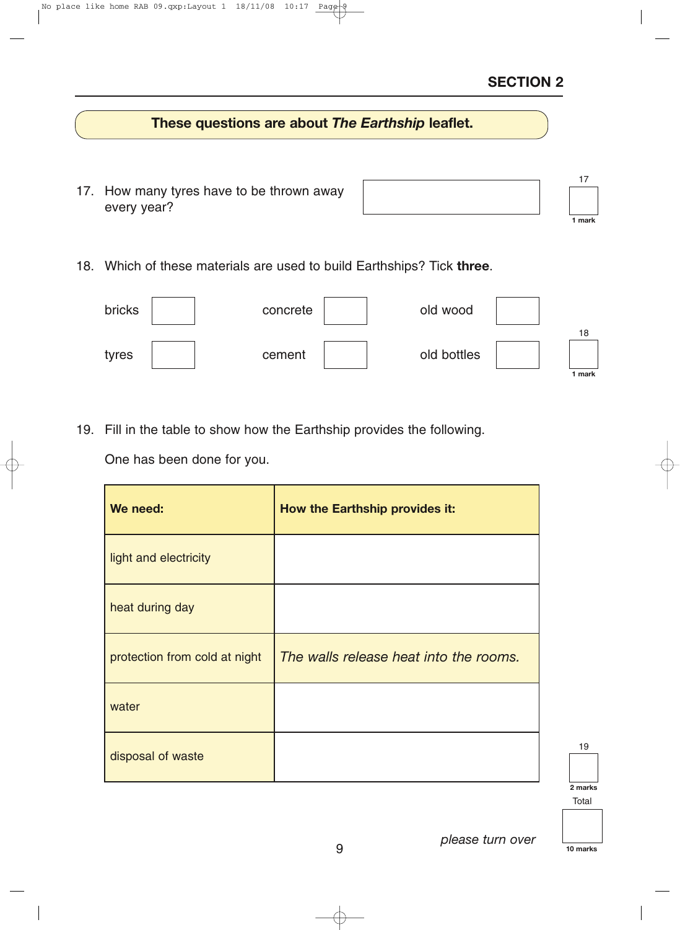### **SECTION 2**

17

**1 mark**

### **These questions are about** *The Earthship* **leaflet.**

- 17. How many tyres have to be thrown away every year?
- 18. Which of these materials are used to build Earthships? Tick **three**.



19. Fill in the table to show how the Earthship provides the following.

One has been done for you.

| We need:                      | How the Earthship provides it:         |
|-------------------------------|----------------------------------------|
| light and electricity         |                                        |
| heat during day               |                                        |
| protection from cold at night | The walls release heat into the rooms. |
| water                         |                                        |
| disposal of waste             |                                        |

19

Total

**10 marks**

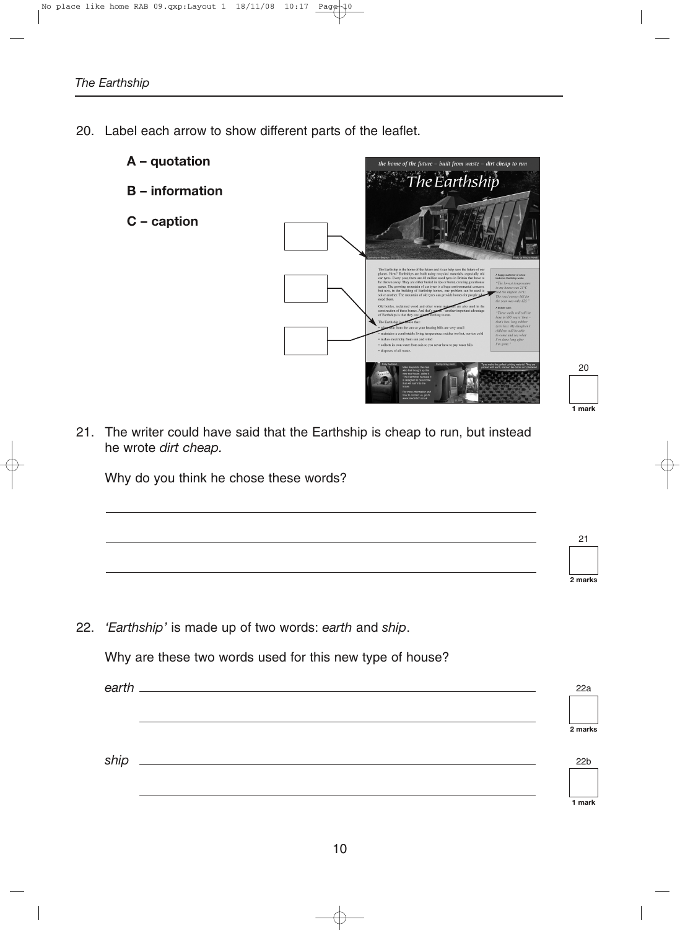20. Label each arrow to show different parts of the leaflet.



21. The writer could have said that the Earthship is cheap to run, but instead he wrote *dirt cheap.*

Why do you think he chose these words?

- 21 **2 marks**
- 22. *'Earthship'* is made up of two words: *earth* and *ship*.

Why are these two words used for this new type of house?

*earth ship* 22a **2 marks** 22b **1 mark**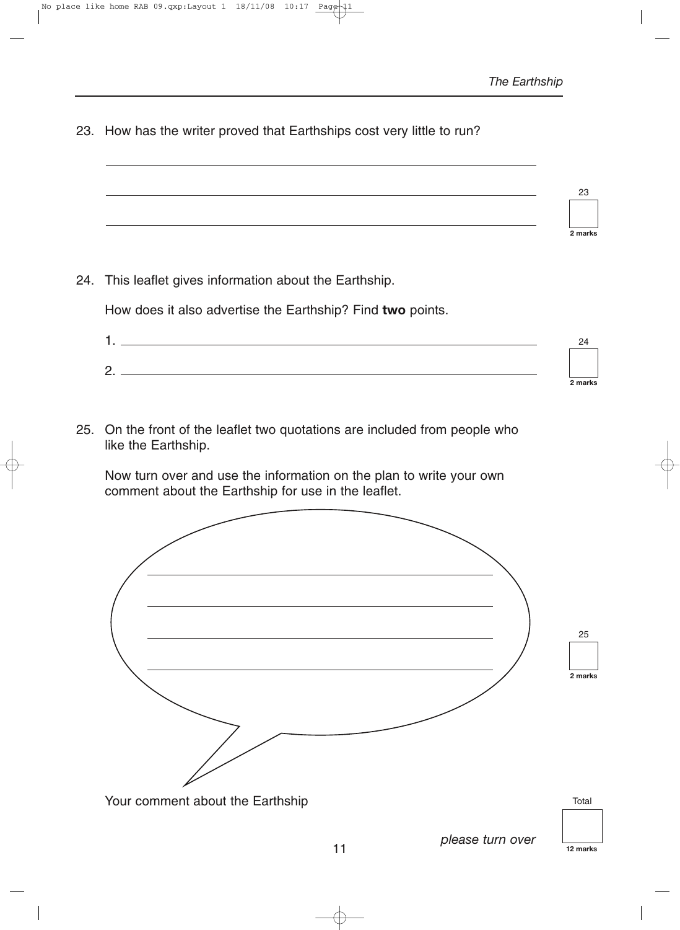23. How has the writer proved that Earthships cost very little to run?

|                                                         | 23      |
|---------------------------------------------------------|---------|
|                                                         |         |
|                                                         |         |
|                                                         | 2 marks |
|                                                         |         |
|                                                         |         |
| 24. This leaflet gives information about the Earthship. |         |

How does it also advertise the Earthship? Find **two** points.



25. On the front of the leaflet two quotations are included from people who like the Earthship.

Now turn over and use the information on the plan to write your own comment about the Earthship for use in the leaflet.

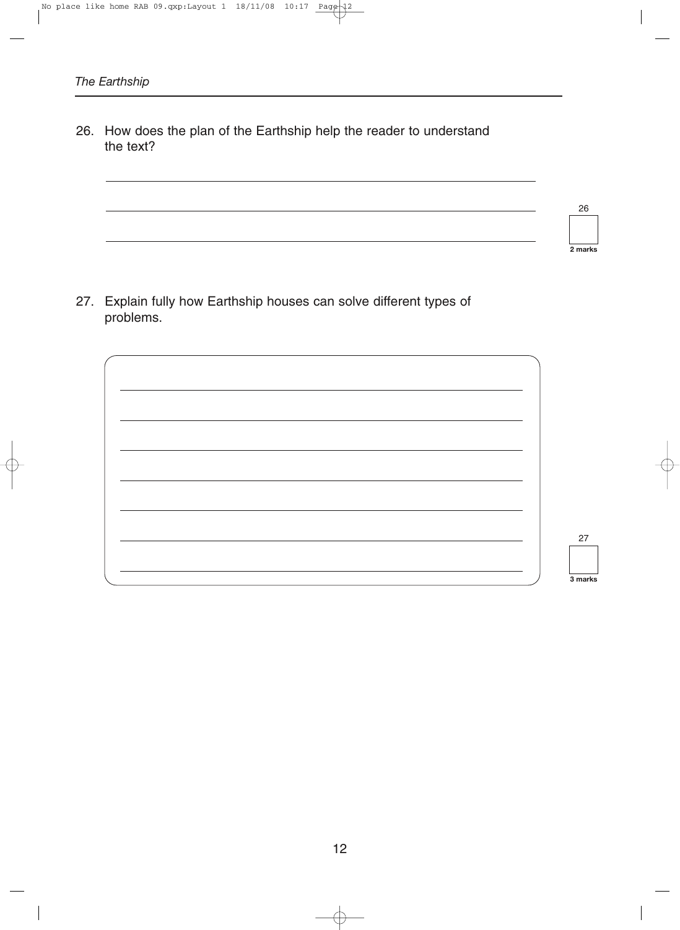26. How does the plan of the Earthship help the reader to understand the text?

27. Explain fully how Earthship houses can solve different types of problems.



26

**2 marks**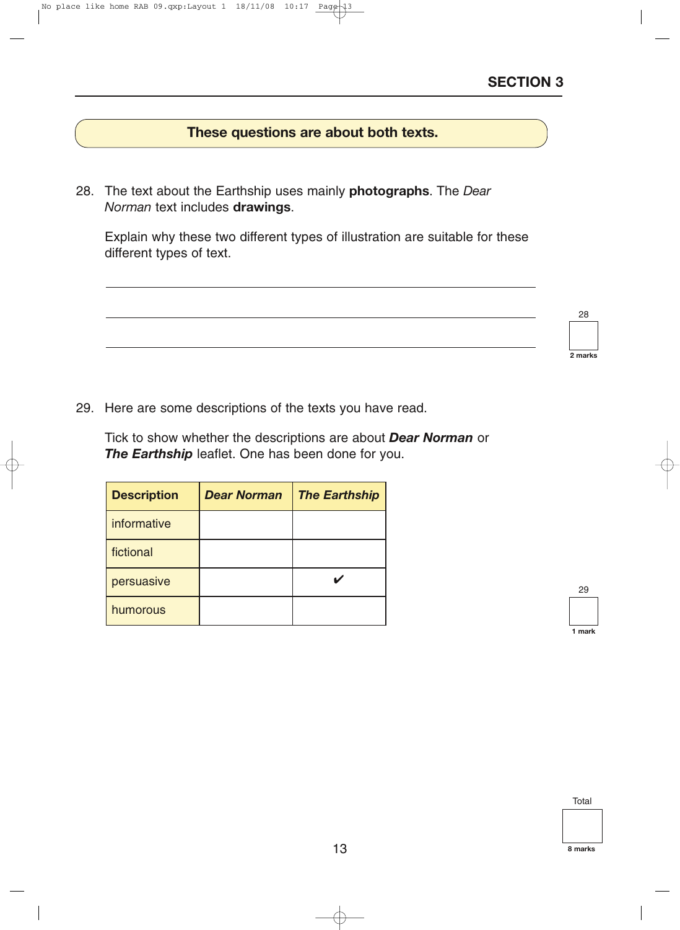#### These questions are about both texts. **These questions are about both texts.**

28. The text about the Earthship uses mainly **photographs**. The *Dear Norman* text includes **drawings**.

Explain why these two different types of illustration are suitable for these different types of text.



Tick to show whether the descriptions are about *Dear Norman* or *The Earthship* leaflet. One has been done for you.

| <b>Description</b> | <b>Dear Norman</b> | <b>The Earthship</b> |
|--------------------|--------------------|----------------------|
| informative        |                    |                      |
| fictional          |                    |                      |
| persuasive         |                    |                      |
| humorous           |                    |                      |





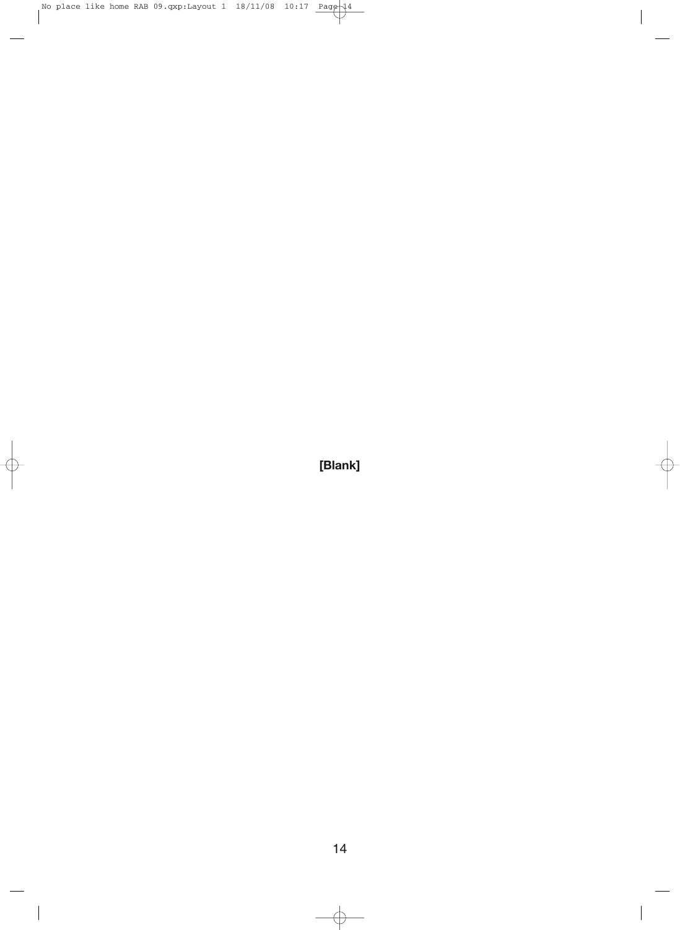**[Blank]**